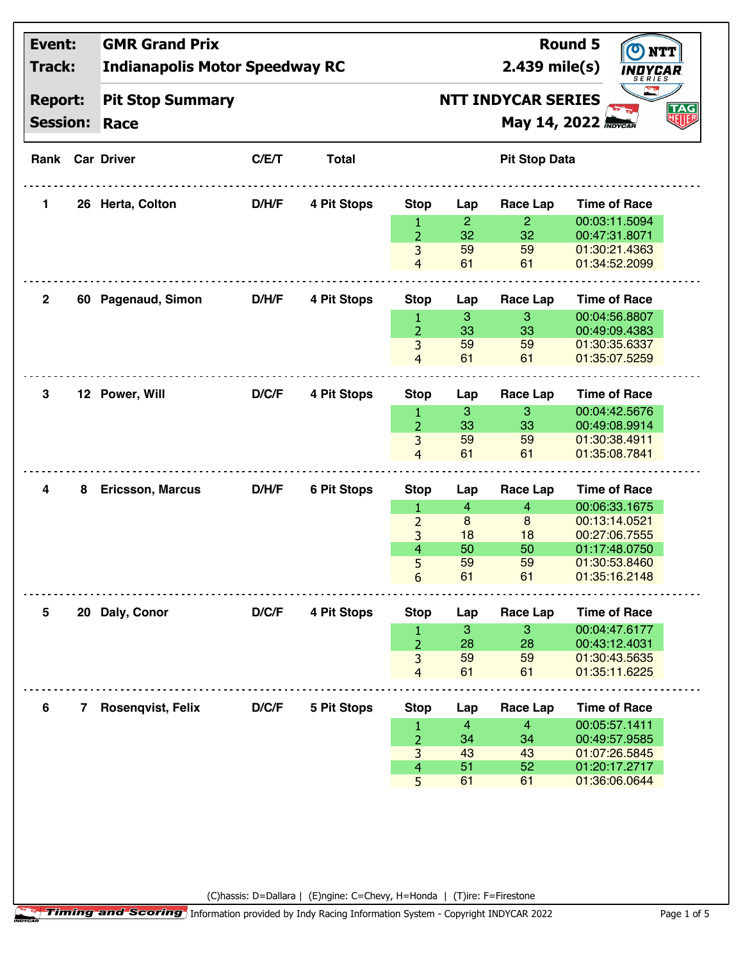| <b>Event:</b>                     |              | <b>GMR Grand Prix</b>                 |                 | <b>Round 5</b>     |                      |                                                                             |                      |                                |  |  |
|-----------------------------------|--------------|---------------------------------------|-----------------|--------------------|----------------------|-----------------------------------------------------------------------------|----------------------|--------------------------------|--|--|
| Track:                            |              | <b>Indianapolis Motor Speedway RC</b> | $2.439$ mile(s) | SFRIFS             |                      |                                                                             |                      |                                |  |  |
| <b>Report:</b><br><b>Session:</b> |              | <b>Pit Stop Summary</b><br>Race       |                 |                    |                      | <b>NTT INDYCAR SERIES</b><br><b>TAG</b><br>明明<br>May 14, 2022 <b>MOYCAR</b> |                      |                                |  |  |
|                                   |              | <b>Rank Car Driver</b>                | C/E/T           | <b>Total</b>       | <b>Pit Stop Data</b> |                                                                             |                      |                                |  |  |
|                                   |              |                                       |                 |                    |                      |                                                                             |                      |                                |  |  |
| 1.                                |              | 26 Herta, Colton                      | D/H/F           | 4 Pit Stops        | <b>Stop</b>          | Lap                                                                         | <b>Race Lap</b>      | <b>Time of Race</b>            |  |  |
|                                   |              |                                       |                 |                    | 1<br>$\overline{2}$  | $\overline{2}$<br>32                                                        | $\overline{2}$<br>32 | 00:03:11.5094<br>00:47:31.8071 |  |  |
|                                   |              |                                       |                 |                    | 3                    | 59                                                                          | 59                   | 01:30:21.4363                  |  |  |
|                                   |              |                                       |                 |                    | $\overline{4}$       | 61                                                                          | 61                   | 01:34:52.2099                  |  |  |
| $\mathbf{2}$                      |              | 60 Pagenaud, Simon                    | <b>D/H/F</b>    | 4 Pit Stops        | <b>Stop</b>          | Lap                                                                         | <b>Race Lap</b>      | <b>Time of Race</b>            |  |  |
|                                   |              |                                       |                 |                    | 1                    | 3                                                                           | $\mathbf{3}$         | 00:04:56.8807                  |  |  |
|                                   |              |                                       |                 |                    | $\overline{2}$       | 33                                                                          | 33                   | 00:49:09.4383                  |  |  |
|                                   |              |                                       |                 |                    | 3                    | 59                                                                          | 59                   | 01:30:35.6337                  |  |  |
|                                   |              |                                       |                 |                    | $\overline{4}$       | 61                                                                          | 61                   | 01:35:07.5259                  |  |  |
| 3                                 |              | 12 Power, Will                        | D/C/F           | 4 Pit Stops        | <b>Stop</b>          | Lap                                                                         | <b>Race Lap</b>      | <b>Time of Race</b>            |  |  |
|                                   |              |                                       |                 |                    | 1                    | 3                                                                           | 3                    | 00:04:42.5676                  |  |  |
|                                   |              |                                       |                 |                    | $\overline{2}$       | 33                                                                          | 33                   | 00:49:08.9914                  |  |  |
|                                   |              |                                       |                 |                    | 3                    | 59                                                                          | 59                   | 01:30:38.4911                  |  |  |
|                                   |              |                                       |                 |                    | $\overline{4}$       | 61                                                                          | 61                   | 01:35:08.7841                  |  |  |
| 4                                 | 8            | <b>Ericsson, Marcus</b>               | D/H/F           | <b>6 Pit Stops</b> | <b>Stop</b>          | Lap                                                                         | <b>Race Lap</b>      | <b>Time of Race</b>            |  |  |
|                                   |              |                                       |                 |                    | 1                    | $\overline{4}$                                                              | $\overline{4}$       | 00:06:33.1675                  |  |  |
|                                   |              |                                       |                 |                    | $\overline{2}$       | 8                                                                           | 8                    | 00:13:14.0521                  |  |  |
|                                   |              |                                       |                 |                    | 3                    | 18                                                                          | 18                   | 00:27:06.7555                  |  |  |
|                                   |              |                                       |                 |                    | $\overline{4}$<br>5  | 50<br>59                                                                    | 50<br>59             | 01:17:48.0750                  |  |  |
|                                   |              |                                       |                 |                    | $6\phantom{a}$       | 61                                                                          | 61                   | 01:30:53.8460<br>01:35:16.2148 |  |  |
|                                   |              |                                       |                 |                    |                      |                                                                             |                      |                                |  |  |
| 5                                 |              | 20 Daly, Conor                        | D/C/F           | 4 Pit Stops        | <b>Stop</b>          | Lap                                                                         | <b>Race Lap</b>      | <b>Time of Race</b>            |  |  |
|                                   |              |                                       |                 |                    | $\mathbf{1}$         | 3                                                                           | 3                    | 00:04:47.6177                  |  |  |
|                                   |              |                                       |                 |                    | $\overline{2}$       | 28                                                                          | 28                   | 00:43:12.4031                  |  |  |
|                                   |              |                                       |                 |                    | 3                    | 59                                                                          | 59                   | 01:30:43.5635                  |  |  |
|                                   |              |                                       |                 |                    | $\overline{4}$       | 61                                                                          | 61                   | 01:35:11.6225                  |  |  |
| 6                                 | $\mathbf{7}$ | Rosenqvist, Felix                     | D/C/F           | 5 Pit Stops        | <b>Stop</b>          | Lap                                                                         | <b>Race Lap</b>      | <b>Time of Race</b>            |  |  |
|                                   |              |                                       |                 |                    | $\mathbf{1}$         | 4                                                                           | $\overline{4}$       | 00:05:57.1411                  |  |  |
|                                   |              |                                       |                 |                    | $\overline{2}$       | 34                                                                          | 34                   | 00:49:57.9585                  |  |  |
|                                   |              |                                       |                 |                    | 3                    | 43<br>51                                                                    | 43<br>52             | 01:07:26.5845<br>01:20:17.2717 |  |  |
|                                   |              |                                       |                 |                    | $\overline{4}$<br>5  | 61                                                                          | 61                   | 01:36:06.0644                  |  |  |
|                                   |              |                                       |                 |                    |                      |                                                                             |                      |                                |  |  |
|                                   |              |                                       |                 |                    |                      |                                                                             |                      |                                |  |  |
|                                   |              |                                       |                 |                    |                      |                                                                             |                      |                                |  |  |
|                                   |              |                                       |                 |                    |                      |                                                                             |                      |                                |  |  |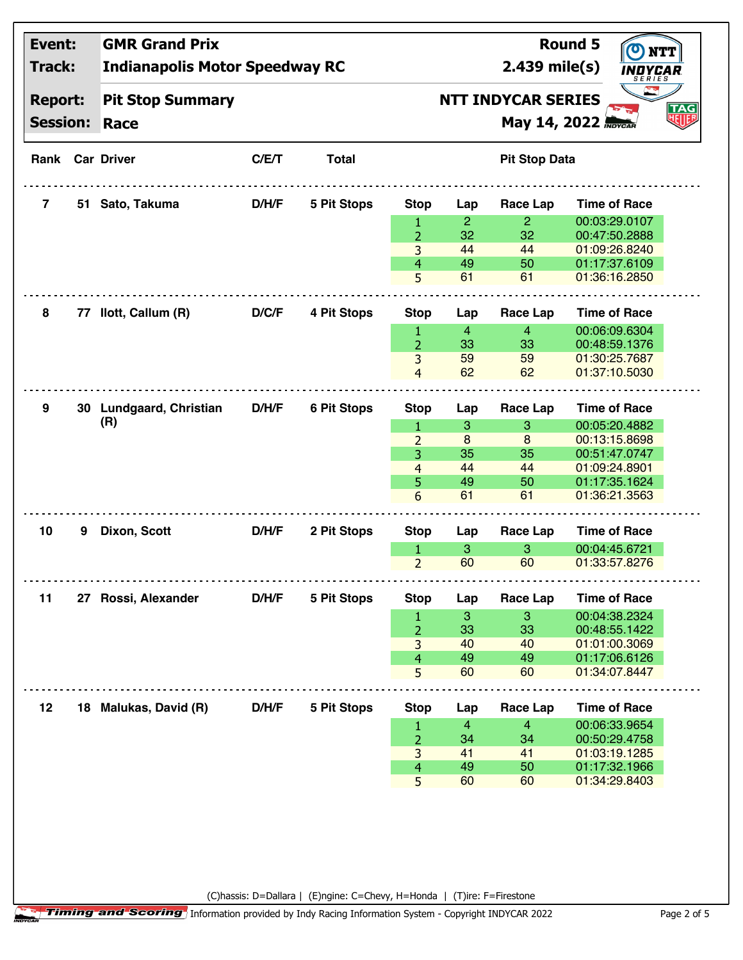| Event:<br>Track:                  |   | <b>GMR Grand Prix</b><br><b>Indianapolis Motor Speedway RC</b> |       |                    |                      | $2.439$ mile(s)                                                      | <b>Round 5</b><br>OYCAR<br>S E R I E S |                                |  |  |  |
|-----------------------------------|---|----------------------------------------------------------------|-------|--------------------|----------------------|----------------------------------------------------------------------|----------------------------------------|--------------------------------|--|--|--|
| <b>Report:</b><br><b>Session:</b> |   | <b>Pit Stop Summary</b><br>Race                                |       |                    |                      | <b>NTT INDYCAR SERIES</b><br><b>TAG</b><br>明明<br>May 14, 2022 Movcan |                                        |                                |  |  |  |
|                                   |   | <b>Rank Car Driver</b>                                         | C/E/T | <b>Total</b>       | <b>Pit Stop Data</b> |                                                                      |                                        |                                |  |  |  |
| 7                                 |   | 51 Sato, Takuma                                                | D/H/F | 5 Pit Stops        | <b>Stop</b>          | Lap                                                                  | Race Lap                               | <b>Time of Race</b>            |  |  |  |
|                                   |   |                                                                |       |                    | 1                    | $\overline{2}$                                                       | $\overline{2}$                         | 00:03:29.0107                  |  |  |  |
|                                   |   |                                                                |       |                    | $\overline{2}$       | 32                                                                   | 32                                     | 00:47:50.2888                  |  |  |  |
|                                   |   |                                                                |       |                    | 3                    | 44                                                                   | 44                                     | 01:09:26.8240                  |  |  |  |
|                                   |   |                                                                |       |                    | 4<br>5               | 49<br>61                                                             | 50<br>61                               | 01:17:37.6109<br>01:36:16.2850 |  |  |  |
| 8                                 |   | 77 Ilott, Callum (R)                                           | D/C/F | 4 Pit Stops        | <b>Stop</b>          | Lap                                                                  | Race Lap                               | <b>Time of Race</b>            |  |  |  |
|                                   |   |                                                                |       |                    | 1                    | $\overline{4}$                                                       | $\overline{4}$                         | 00:06:09.6304                  |  |  |  |
|                                   |   |                                                                |       |                    | $\overline{2}$       | 33                                                                   | 33                                     | 00:48:59.1376                  |  |  |  |
|                                   |   |                                                                |       |                    | 3                    | 59                                                                   | 59                                     | 01:30:25.7687                  |  |  |  |
|                                   |   |                                                                |       |                    | $\overline{4}$       | 62                                                                   | 62                                     | 01:37:10.5030                  |  |  |  |
| 9                                 |   | 30 Lundgaard, Christian                                        | D/H/F | <b>6 Pit Stops</b> | <b>Stop</b>          | Lap                                                                  | Race Lap                               | <b>Time of Race</b>            |  |  |  |
|                                   |   | (R)                                                            |       |                    | 1                    | 3                                                                    | 3                                      | 00:05:20.4882                  |  |  |  |
|                                   |   |                                                                |       |                    | $\overline{2}$       | 8                                                                    | 8                                      | 00:13:15.8698                  |  |  |  |
|                                   |   |                                                                |       |                    | 3                    | 35                                                                   | 35                                     | 00:51:47.0747                  |  |  |  |
|                                   |   |                                                                |       |                    | $\overline{4}$       | 44                                                                   | 44                                     | 01:09:24.8901                  |  |  |  |
|                                   |   |                                                                |       |                    | 5                    | 49                                                                   | 50                                     | 01:17:35.1624                  |  |  |  |
|                                   |   |                                                                |       |                    | 6                    | 61                                                                   | 61                                     | 01:36:21.3563                  |  |  |  |
| 10                                | 9 | Dixon, Scott                                                   | D/H/F | 2 Pit Stops        | <b>Stop</b>          | Lap                                                                  | Race Lap                               | <b>Time of Race</b>            |  |  |  |
|                                   |   |                                                                |       |                    | 1                    | 3                                                                    | 3                                      | 00:04:45.6721                  |  |  |  |
|                                   |   |                                                                |       |                    | $\overline{2}$       | 60                                                                   | 60                                     | 01:33:57.8276                  |  |  |  |
| 11                                |   | 27 Rossi, Alexander                                            | D/H/F | 5 Pit Stops        | <b>Stop</b>          | Lap                                                                  | Race Lap                               | <b>Time of Race</b>            |  |  |  |
|                                   |   |                                                                |       |                    | $\mathbf{1}$         | 3                                                                    | 3                                      | 00:04:38.2324                  |  |  |  |
|                                   |   |                                                                |       |                    | $\overline{2}$       | 33                                                                   | 33                                     | 00:48:55.1422                  |  |  |  |
|                                   |   |                                                                |       |                    | 3                    | 40                                                                   | 40                                     | 01:01:00.3069                  |  |  |  |
|                                   |   |                                                                |       |                    | $\overline{4}$       | 49                                                                   | 49                                     | 01:17:06.6126                  |  |  |  |
|                                   |   |                                                                |       |                    | 5                    | 60                                                                   | 60                                     | 01:34:07.8447                  |  |  |  |
| 12                                |   | 18 Malukas, David (R)                                          | D/H/F | 5 Pit Stops        | <b>Stop</b>          | Lap                                                                  | <b>Race Lap</b>                        | <b>Time of Race</b>            |  |  |  |
|                                   |   |                                                                |       |                    | 1                    | 4                                                                    | $\overline{4}$                         | 00:06:33.9654                  |  |  |  |
|                                   |   |                                                                |       |                    | $\overline{2}$       | 34                                                                   | 34                                     | 00:50:29.4758                  |  |  |  |
|                                   |   |                                                                |       |                    | 3                    | 41                                                                   | 41                                     | 01:03:19.1285<br>01:17:32.1966 |  |  |  |
|                                   |   |                                                                |       |                    | 4<br>5               | 49<br>60                                                             | 50<br>60                               | 01:34:29.8403                  |  |  |  |
|                                   |   |                                                                |       |                    |                      |                                                                      |                                        |                                |  |  |  |
|                                   |   |                                                                |       |                    |                      |                                                                      |                                        |                                |  |  |  |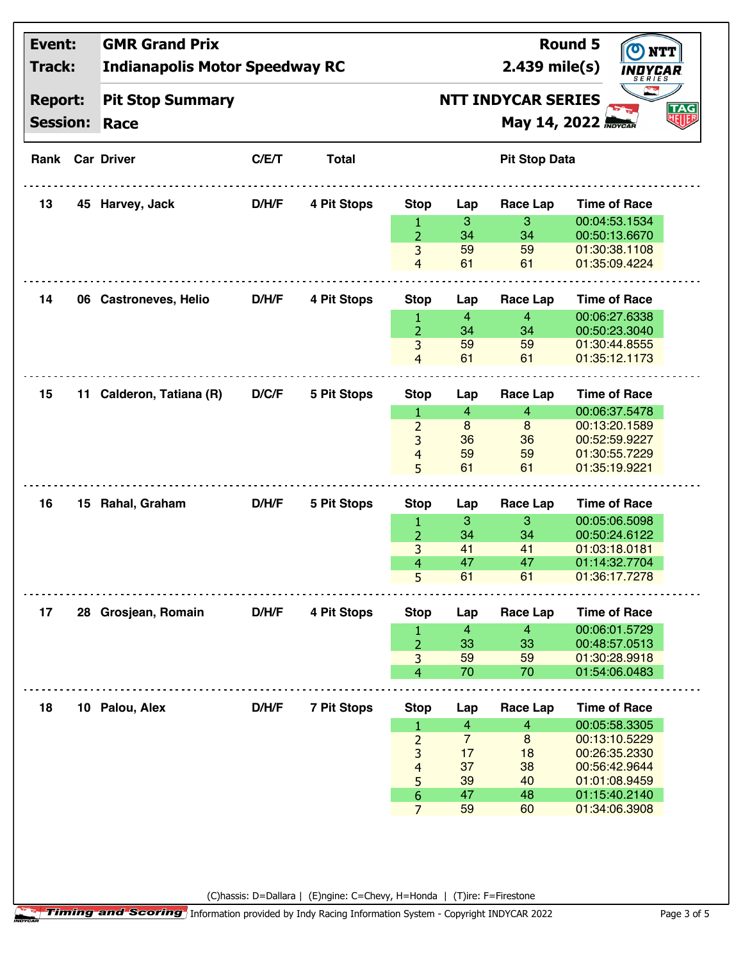| <b>Report:</b><br><b>Pit Stop Summary</b><br><b>Session:</b><br>Race<br><b>Rank Car Driver</b><br>45 Harvey, Jack<br>06 Castroneves, Helio | C/E/T<br>D/H/F | <b>Total</b><br>4 Pit Stops | <b>Stop</b>         |                                                                                                                                                                                                                  | <b>NTT INDYCAR SERIES</b><br><b>Pit Stop Data</b>                                                             | SERIES<br><b>TAG</b><br>知啰<br>May 14, 2022 <b>Movcan</b>                                                                     |
|--------------------------------------------------------------------------------------------------------------------------------------------|----------------|-----------------------------|---------------------|------------------------------------------------------------------------------------------------------------------------------------------------------------------------------------------------------------------|---------------------------------------------------------------------------------------------------------------|------------------------------------------------------------------------------------------------------------------------------|
|                                                                                                                                            |                |                             |                     |                                                                                                                                                                                                                  |                                                                                                               |                                                                                                                              |
|                                                                                                                                            |                |                             |                     |                                                                                                                                                                                                                  |                                                                                                               |                                                                                                                              |
|                                                                                                                                            |                |                             |                     | Lap                                                                                                                                                                                                              | Race Lap                                                                                                      | <b>Time of Race</b>                                                                                                          |
|                                                                                                                                            |                |                             | 1                   | 3                                                                                                                                                                                                                | 3                                                                                                             | 00:04:53.1534                                                                                                                |
|                                                                                                                                            |                |                             | $\overline{2}$      | 34                                                                                                                                                                                                               | 34                                                                                                            | 00:50:13.6670                                                                                                                |
|                                                                                                                                            |                |                             | 3<br>$\overline{4}$ | 59<br>61                                                                                                                                                                                                         | 59<br>61                                                                                                      | 01:30:38.1108<br>01:35:09.4224                                                                                               |
|                                                                                                                                            | <b>D/H/F</b>   | 4 Pit Stops                 | <b>Stop</b>         | Lap                                                                                                                                                                                                              | <b>Race Lap</b>                                                                                               | <b>Time of Race</b>                                                                                                          |
|                                                                                                                                            |                |                             | 1                   | $\overline{4}$                                                                                                                                                                                                   | $\overline{4}$                                                                                                | 00:06:27.6338                                                                                                                |
|                                                                                                                                            |                |                             | $\overline{2}$      | 34                                                                                                                                                                                                               | 34                                                                                                            | 00:50:23.3040                                                                                                                |
|                                                                                                                                            |                |                             | 3                   | 59                                                                                                                                                                                                               | 59                                                                                                            | 01:30:44.8555                                                                                                                |
|                                                                                                                                            |                |                             | $\overline{4}$      | 61                                                                                                                                                                                                               | 61                                                                                                            | 01:35:12.1173                                                                                                                |
|                                                                                                                                            | D/C/F          | 5 Pit Stops                 | <b>Stop</b>         | Lap                                                                                                                                                                                                              | Race Lap                                                                                                      | <b>Time of Race</b>                                                                                                          |
|                                                                                                                                            |                |                             | 1                   | $\overline{4}$                                                                                                                                                                                                   | $\overline{4}$                                                                                                | 00:06:37.5478                                                                                                                |
|                                                                                                                                            |                |                             | $\overline{2}$      | 8                                                                                                                                                                                                                | 8                                                                                                             | 00:13:20.1589                                                                                                                |
|                                                                                                                                            |                |                             |                     |                                                                                                                                                                                                                  |                                                                                                               | 00:52:59.9227                                                                                                                |
|                                                                                                                                            |                |                             |                     |                                                                                                                                                                                                                  |                                                                                                               | 01:30:55.7229                                                                                                                |
|                                                                                                                                            |                |                             |                     |                                                                                                                                                                                                                  |                                                                                                               | 01:35:19.9221                                                                                                                |
| 15 Rahal, Graham                                                                                                                           | <b>D/H/F</b>   | 5 Pit Stops                 | <b>Stop</b>         | Lap                                                                                                                                                                                                              | Race Lap                                                                                                      | <b>Time of Race</b>                                                                                                          |
|                                                                                                                                            |                |                             | 1                   | 3                                                                                                                                                                                                                | 3                                                                                                             | 00:05:06.5098                                                                                                                |
|                                                                                                                                            |                |                             |                     |                                                                                                                                                                                                                  |                                                                                                               | 00:50:24.6122                                                                                                                |
|                                                                                                                                            |                |                             |                     |                                                                                                                                                                                                                  |                                                                                                               | 01:03:18.0181                                                                                                                |
|                                                                                                                                            |                |                             |                     |                                                                                                                                                                                                                  |                                                                                                               | 01:14:32.7704                                                                                                                |
|                                                                                                                                            |                |                             |                     |                                                                                                                                                                                                                  |                                                                                                               | 01:36:17.7278                                                                                                                |
| 28 Grosjean, Romain                                                                                                                        | D/H/F          | 4 Pit Stops                 | <b>Stop</b>         | Lap                                                                                                                                                                                                              | <b>Race Lap</b>                                                                                               | <b>Time of Race</b>                                                                                                          |
|                                                                                                                                            |                |                             | $\mathbf{1}$        | $\overline{4}$                                                                                                                                                                                                   | $\overline{4}$                                                                                                | 00:06:01.5729                                                                                                                |
|                                                                                                                                            |                |                             |                     |                                                                                                                                                                                                                  |                                                                                                               | 00:48:57.0513<br>01:30:28.9918                                                                                               |
|                                                                                                                                            |                |                             |                     |                                                                                                                                                                                                                  |                                                                                                               | 01:54:06.0483                                                                                                                |
|                                                                                                                                            |                |                             |                     |                                                                                                                                                                                                                  |                                                                                                               |                                                                                                                              |
| 10 Palou, Alex                                                                                                                             | D/H/F          | <b>7 Pit Stops</b>          | <b>Stop</b>         | Lap                                                                                                                                                                                                              | Race Lap                                                                                                      | <b>Time of Race</b>                                                                                                          |
|                                                                                                                                            |                |                             | 1                   |                                                                                                                                                                                                                  |                                                                                                               | 00:05:58.3305                                                                                                                |
|                                                                                                                                            |                |                             |                     |                                                                                                                                                                                                                  |                                                                                                               | 00:13:10.5229                                                                                                                |
|                                                                                                                                            |                |                             |                     |                                                                                                                                                                                                                  |                                                                                                               | 00:26:35.2330<br>00:56:42.9644                                                                                               |
|                                                                                                                                            |                |                             |                     |                                                                                                                                                                                                                  |                                                                                                               | 01:01:08.9459                                                                                                                |
|                                                                                                                                            |                |                             |                     |                                                                                                                                                                                                                  |                                                                                                               | 01:15:40.2140                                                                                                                |
|                                                                                                                                            |                |                             |                     |                                                                                                                                                                                                                  |                                                                                                               | 01:34:06.3908                                                                                                                |
|                                                                                                                                            |                | 11 Calderon, Tatiana (R)    |                     | 3<br>$\overline{4}$<br>5<br>$\overline{2}$<br>3<br>$\overline{4}$<br>$\overline{5}$<br>$\overline{2}$<br>3<br>$\overline{4}$<br>$\overline{2}$<br>3<br>$\overline{4}$<br>5<br>$\boldsymbol{6}$<br>$\overline{7}$ | 36<br>59<br>61<br>34<br>41<br>47<br>61<br>33<br>59<br>70<br>4<br>$\overline{7}$<br>17<br>37<br>39<br>47<br>59 | 36<br>59<br>61<br>34<br>41<br>47<br>61<br>33<br>59<br>70<br>$\overline{\mathbf{4}}$<br>$\bf 8$<br>18<br>38<br>40<br>48<br>60 |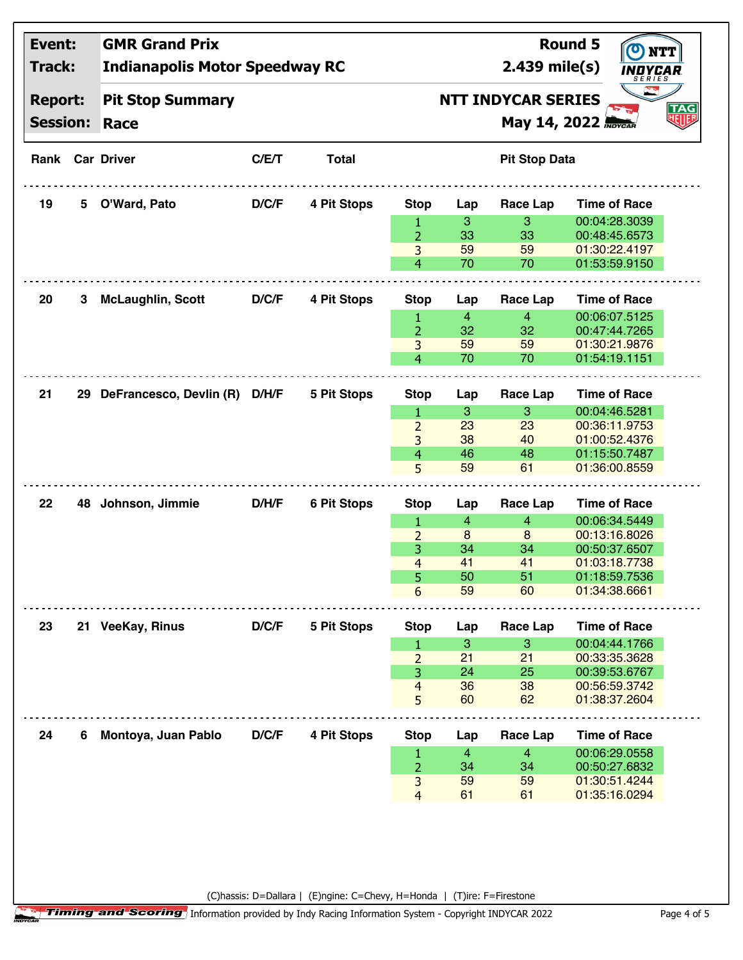| Event:          |   | <b>GMR Grand Prix</b>                 |              |                                     |                         |                            |                      | <b>Round 5</b>      |  |
|-----------------|---|---------------------------------------|--------------|-------------------------------------|-------------------------|----------------------------|----------------------|---------------------|--|
| Track:          |   | <b>Indianapolis Motor Speedway RC</b> |              | $2.439$ mile(s)                     | INDYCAR                 |                            |                      |                     |  |
| <b>Report:</b>  |   | <b>Pit Stop Summary</b>               |              | SERIES<br><b>NTT INDYCAR SERIES</b> |                         |                            |                      |                     |  |
| <b>Session:</b> |   | <b>Race</b>                           |              |                                     |                         | May 14, 2022 <b>Movcan</b> | TAG<br>明明            |                     |  |
|                 |   |                                       |              |                                     |                         |                            |                      |                     |  |
|                 |   | <b>Rank Car Driver</b>                | C/E/T        | <b>Total</b>                        |                         |                            | <b>Pit Stop Data</b> |                     |  |
| 19              | 5 | O'Ward, Pato                          | D/C/F        | 4 Pit Stops                         | <b>Stop</b>             | Lap                        | Race Lap             | <b>Time of Race</b> |  |
|                 |   |                                       |              |                                     | 1                       | 3                          | 3                    | 00:04:28.3039       |  |
|                 |   |                                       |              |                                     | $\overline{2}$          | 33                         | 33                   | 00:48:45.6573       |  |
|                 |   |                                       |              |                                     | 3                       | 59                         | 59                   | 01:30:22.4197       |  |
|                 |   |                                       |              |                                     | 4                       | 70                         | 70                   | 01:53:59.9150       |  |
| 20              | 3 | <b>McLaughlin, Scott</b>              | D/C/F        | 4 Pit Stops                         | <b>Stop</b>             | Lap                        | Race Lap             | <b>Time of Race</b> |  |
|                 |   |                                       |              |                                     | 1                       | $\overline{4}$             | $\overline{4}$       | 00:06:07.5125       |  |
|                 |   |                                       |              |                                     | $\overline{2}$          | 32                         | 32                   | 00:47:44.7265       |  |
|                 |   |                                       |              |                                     | 3                       | 59                         | 59                   | 01:30:21.9876       |  |
|                 |   |                                       |              |                                     | 4                       | 70                         | 70                   | 01:54:19.1151       |  |
| 21              |   | 29 DeFrancesco, Devlin (R)            | <b>D/H/F</b> | 5 Pit Stops                         | <b>Stop</b>             | Lap                        | Race Lap             | <b>Time of Race</b> |  |
|                 |   |                                       |              |                                     | 1                       | 3                          | 3                    | 00:04:46.5281       |  |
|                 |   |                                       |              |                                     | $\overline{2}$          | 23                         | 23                   | 00:36:11.9753       |  |
|                 |   |                                       |              |                                     | 3                       | 38                         | 40                   | 01:00:52.4376       |  |
|                 |   |                                       |              |                                     | 4                       | 46                         | 48                   | 01:15:50.7487       |  |
|                 |   |                                       |              |                                     | 5                       | 59                         | 61                   | 01:36:00.8559       |  |
| 22              |   | 48 Johnson, Jimmie                    | <b>D/H/F</b> | <b>6 Pit Stops</b>                  | <b>Stop</b>             | Lap                        | <b>Race Lap</b>      | <b>Time of Race</b> |  |
|                 |   |                                       |              |                                     | 1                       | $\overline{4}$             | $\overline{4}$       | 00:06:34.5449       |  |
|                 |   |                                       |              |                                     | $\overline{2}$          | 8                          | 8                    | 00:13:16.8026       |  |
|                 |   |                                       |              |                                     | 3                       | 34                         | 34                   | 00:50:37.6507       |  |
|                 |   |                                       |              |                                     | 4                       | 41                         | 41                   | 01:03:18.7738       |  |
|                 |   |                                       |              |                                     | 5                       | 50                         | 51                   | 01:18:59.7536       |  |
|                 |   |                                       |              |                                     | 6                       | 59                         | 60                   | 01:34:38.6661       |  |
| 23              |   | 21 VeeKay, Rinus                      | D/C/F        | 5 Pit Stops                         | <b>Stop</b>             | Lap                        | <b>Race Lap</b>      | <b>Time of Race</b> |  |
|                 |   |                                       |              |                                     | 1                       | 3                          | 3                    | 00:04:44.1766       |  |
|                 |   |                                       |              |                                     | $\overline{2}$          | 21                         | 21                   | 00:33:35.3628       |  |
|                 |   |                                       |              |                                     | 3                       | 24                         | 25                   | 00:39:53.6767       |  |
|                 |   |                                       |              |                                     | 4                       | 36                         | 38                   | 00:56:59.3742       |  |
|                 |   |                                       |              |                                     | 5                       | 60                         | 62                   | 01:38:37.2604       |  |
| 24              | 6 | Montoya, Juan Pablo                   | D/C/F        | 4 Pit Stops                         | <b>Stop</b>             | Lap                        | Race Lap             | <b>Time of Race</b> |  |
|                 |   |                                       |              |                                     | 1                       | $\overline{4}$             | $\overline{4}$       | 00:06:29.0558       |  |
|                 |   |                                       |              |                                     | $\overline{2}$          | 34                         | 34                   | 00:50:27.6832       |  |
|                 |   |                                       |              |                                     | 3                       | 59                         | 59                   | 01:30:51.4244       |  |
|                 |   |                                       |              |                                     | $\overline{\mathbf{4}}$ | 61                         | 61                   | 01:35:16.0294       |  |
|                 |   |                                       |              |                                     |                         |                            |                      |                     |  |
|                 |   |                                       |              |                                     |                         |                            |                      |                     |  |